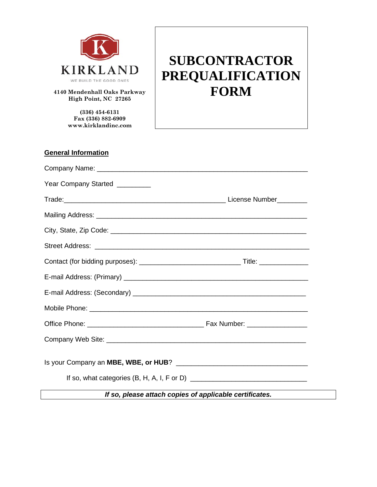

**4140 Mendenhall Oaks Parkway High Point, NC 27265**

> **(336) 454-6131 Fax (336) 882-6909 www.kirklandinc.com**

# **SUBCONTRACTOR PREQUALIFICATION FORM**

| <b>General Information</b>                              |  |
|---------------------------------------------------------|--|
|                                                         |  |
| Year Company Started _________                          |  |
|                                                         |  |
|                                                         |  |
|                                                         |  |
|                                                         |  |
|                                                         |  |
|                                                         |  |
|                                                         |  |
|                                                         |  |
|                                                         |  |
|                                                         |  |
|                                                         |  |
|                                                         |  |
| If so, please attach copies of applicable certificates. |  |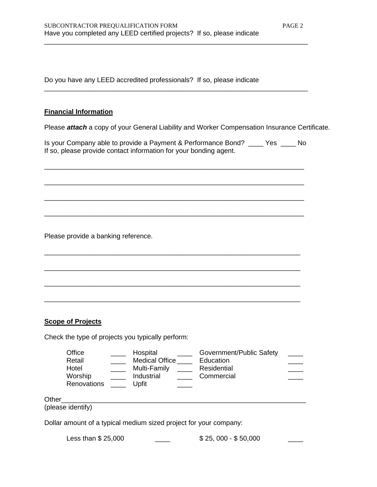Do you have any LEED accredited professionals? If so, please indicate

## **Financial Information**

Please *attach* a copy of your General Liability and Worker Compensation Insurance Certificate.

Is your Company able to provide a Payment & Performance Bond? \_\_\_\_ Yes \_\_\_\_ No If so, please provide contact information for your bonding agent.

\_\_\_\_\_\_\_\_\_\_\_\_\_\_\_\_\_\_\_\_\_\_\_\_\_\_\_\_\_\_\_\_\_\_\_\_\_\_\_\_\_\_\_\_\_\_\_\_\_\_\_\_\_\_\_\_\_\_\_\_\_\_\_\_\_\_\_\_\_

\_\_\_\_\_\_\_\_\_\_\_\_\_\_\_\_\_\_\_\_\_\_\_\_\_\_\_\_\_\_\_\_\_\_\_\_\_\_\_\_\_\_\_\_\_\_\_\_\_\_\_\_\_\_\_\_\_\_\_\_\_\_\_\_\_\_\_\_\_

\_\_\_\_\_\_\_\_\_\_\_\_\_\_\_\_\_\_\_\_\_\_\_\_\_\_\_\_\_\_\_\_\_\_\_\_\_\_\_\_\_\_\_\_\_\_\_\_\_\_\_\_\_\_\_\_\_\_\_\_\_\_\_\_\_\_\_\_\_

\_\_\_\_\_\_\_\_\_\_\_\_\_\_\_\_\_\_\_\_\_\_\_\_\_\_\_\_\_\_\_\_\_\_\_\_\_\_\_\_\_\_\_\_\_\_\_\_\_\_\_\_\_\_\_\_\_\_\_\_\_\_\_\_\_\_\_\_\_

\_\_\_\_\_\_\_\_\_\_\_\_\_\_\_\_\_\_\_\_\_\_\_\_\_\_\_\_\_\_\_\_\_\_\_\_\_\_\_\_\_\_\_\_\_\_\_\_\_\_\_\_\_\_\_\_\_\_\_\_\_\_\_\_\_\_\_\_

\_\_\_\_\_\_\_\_\_\_\_\_\_\_\_\_\_\_\_\_\_\_\_\_\_\_\_\_\_\_\_\_\_\_\_\_\_\_\_\_\_\_\_\_\_\_\_\_\_\_\_\_\_\_\_\_\_\_\_\_\_\_\_\_\_\_\_\_

\_\_\_\_\_\_\_\_\_\_\_\_\_\_\_\_\_\_\_\_\_\_\_\_\_\_\_\_\_\_\_\_\_\_\_\_\_\_\_\_\_\_\_\_\_\_\_\_\_\_\_\_\_\_\_\_\_\_\_\_\_\_\_\_\_\_\_\_

\_\_\_\_\_\_\_\_\_\_\_\_\_\_\_\_\_\_\_\_\_\_\_\_\_\_\_\_\_\_\_\_\_\_\_\_\_\_\_\_\_\_\_\_\_\_\_\_\_\_\_\_\_\_\_\_\_\_\_\_\_\_\_\_\_\_\_\_

\_\_\_\_\_\_\_\_\_\_\_\_\_\_\_\_\_\_\_\_\_\_\_\_\_\_\_\_\_\_\_\_\_\_\_\_\_\_\_\_\_\_\_\_\_\_\_\_\_\_\_\_\_\_\_\_\_\_\_\_\_\_\_\_\_\_\_\_\_\_

\_\_\_\_\_\_\_\_\_\_\_\_\_\_\_\_\_\_\_\_\_\_\_\_\_\_\_\_\_\_\_\_\_\_\_\_\_\_\_\_\_\_\_\_\_\_\_\_\_\_\_\_\_\_\_\_\_\_\_\_\_\_\_\_\_\_\_\_\_\_

Please provide a banking reference.

#### **Scope of Projects**

Check the type of projects you typically perform:

| Office<br>Retail<br>Hotel<br>Worship<br>Renovations                                             | Hospital<br>Industrial<br>Upfit | <b>Medical Office</b><br>Multi-Family | Government/Public Safety<br>Education<br>Residential<br>Commercial |  |
|-------------------------------------------------------------------------------------------------|---------------------------------|---------------------------------------|--------------------------------------------------------------------|--|
| Other<br>(please identify)<br>Dollar amount of a typical medium sized project for your company: |                                 |                                       |                                                                    |  |

Less than  $$ 25,000$   $$ 25,000 - $ 50,000$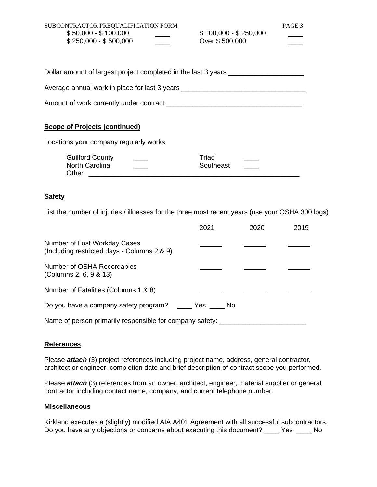| SUBCONTRACTOR PREQUALIFICATION FORM<br>$$50,000 - $100,000$<br>$$250,000 - $500,000$ | $$100,000 - $250,000$<br>Over \$500,000 | PAGE 3 |  |
|--------------------------------------------------------------------------------------|-----------------------------------------|--------|--|
| Dollar amount of largest project completed in the last 3 years                       |                                         |        |  |
| Average annual work in place for last 3 years __________________________________     |                                         |        |  |
|                                                                                      |                                         |        |  |
| <b>Scope of Projects (continued)</b><br>Locations your company regularly works:      |                                         |        |  |
|                                                                                      |                                         |        |  |

| Guilford County | Triad     |  |
|-----------------|-----------|--|
| North Carolina  | Southeast |  |
| Other           |           |  |

## **Safety**

List the number of injuries / illnesses for the three most recent years (use your OSHA 300 logs)

|                                                                             | 2021              | 2020 | 2019 |
|-----------------------------------------------------------------------------|-------------------|------|------|
| Number of Lost Workday Cases<br>(Including restricted days - Columns 2 & 9) |                   |      |      |
| Number of OSHA Recordables<br>(Columns 2, 6, 9 & 13)                        |                   |      |      |
| Number of Fatalities (Columns 1 & 8)                                        |                   |      |      |
| Do you have a company safety program?                                       | in the Yes the No |      |      |
| Name of person primarily responsible for company safety:                    |                   |      |      |

#### **References**

Please *attach* (3) project references including project name, address, general contractor, architect or engineer, completion date and brief description of contract scope you performed.

Please *attach* (3) references from an owner, architect, engineer, material supplier or general contractor including contact name, company, and current telephone number.

## **Miscellaneous**

Kirkland executes a (slightly) modified AIA A401 Agreement with all successful subcontractors. Do you have any objections or concerns about executing this document? \_\_\_\_\_ Yes \_\_\_\_\_ No